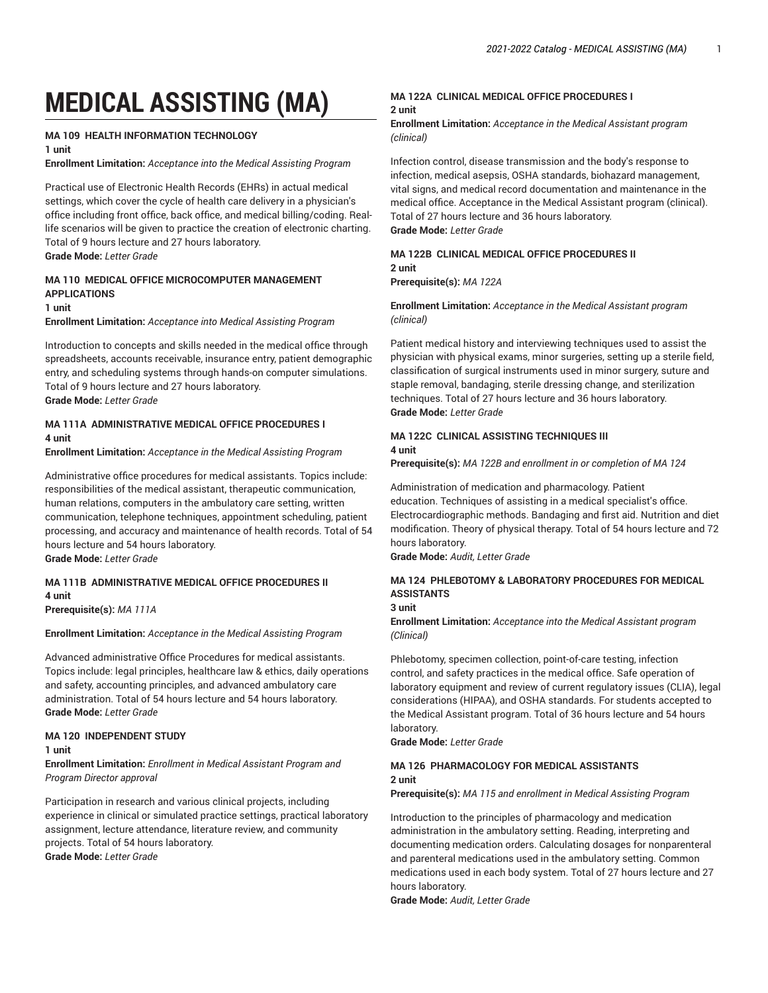# **MEDICAL ASSISTING (MA)**

# **MA 109 HEALTH INFORMATION TECHNOLOGY**

**1 unit**

**Enrollment Limitation:** *Acceptance into the Medical Assisting Program*

Practical use of Electronic Health Records (EHRs) in actual medical settings, which cover the cycle of health care delivery in a physician's office including front office, back office, and medical billing/coding. Reallife scenarios will be given to practice the creation of electronic charting. Total of 9 hours lecture and 27 hours laboratory. **Grade Mode:** *Letter Grade*

## **MA 110 MEDICAL OFFICE MICROCOMPUTER MANAGEMENT APPLICATIONS**

#### **1 unit**

**Enrollment Limitation:** *Acceptance into Medical Assisting Program*

Introduction to concepts and skills needed in the medical office through spreadsheets, accounts receivable, insurance entry, patient demographic entry, and scheduling systems through hands-on computer simulations. Total of 9 hours lecture and 27 hours laboratory. **Grade Mode:** *Letter Grade*

# **MA 111A ADMINISTRATIVE MEDICAL OFFICE PROCEDURES I 4 unit**

**Enrollment Limitation:** *Acceptance in the Medical Assisting Program*

Administrative office procedures for medical assistants. Topics include: responsibilities of the medical assistant, therapeutic communication, human relations, computers in the ambulatory care setting, written communication, telephone techniques, appointment scheduling, patient processing, and accuracy and maintenance of health records. Total of 54 hours lecture and 54 hours laboratory. **Grade Mode:** *Letter Grade*

# **MA 111B ADMINISTRATIVE MEDICAL OFFICE PROCEDURES II 4 unit**

**Prerequisite(s):** *MA 111A*

#### **Enrollment Limitation:** *Acceptance in the Medical Assisting Program*

Advanced administrative Office Procedures for medical assistants. Topics include: legal principles, healthcare law & ethics, daily operations and safety, accounting principles, and advanced ambulatory care administration. Total of 54 hours lecture and 54 hours laboratory. **Grade Mode:** *Letter Grade*

#### **MA 120 INDEPENDENT STUDY**

#### **1 unit**

**Enrollment Limitation:** *Enrollment in Medical Assistant Program and Program Director approval*

Participation in research and various clinical projects, including experience in clinical or simulated practice settings, practical laboratory assignment, lecture attendance, literature review, and community projects. Total of 54 hours laboratory. **Grade Mode:** *Letter Grade*

### **MA 122A CLINICAL MEDICAL OFFICE PROCEDURES I 2 unit**

**Enrollment Limitation:** *Acceptance in the Medical Assistant program (clinical)*

Infection control, disease transmission and the body's response to infection, medical asepsis, OSHA standards, biohazard management, vital signs, and medical record documentation and maintenance in the medical office. Acceptance in the Medical Assistant program (clinical). Total of 27 hours lecture and 36 hours laboratory. **Grade Mode:** *Letter Grade*

# **MA 122B CLINICAL MEDICAL OFFICE PROCEDURES II 2 unit**

**Prerequisite(s):** *MA 122A*

**Enrollment Limitation:** *Acceptance in the Medical Assistant program (clinical)*

Patient medical history and interviewing techniques used to assist the physician with physical exams, minor surgeries, setting up a sterile field, classification of surgical instruments used in minor surgery, suture and staple removal, bandaging, sterile dressing change, and sterilization techniques. Total of 27 hours lecture and 36 hours laboratory. **Grade Mode:** *Letter Grade*

### **MA 122C CLINICAL ASSISTING TECHNIQUES III 4 unit**

**Prerequisite(s):** *MA 122B and enrollment in or completion of MA 124*

Administration of medication and pharmacology. Patient education. Techniques of assisting in a medical specialist's office. Electrocardiographic methods. Bandaging and first aid. Nutrition and diet modification. Theory of physical therapy. Total of 54 hours lecture and 72 hours laboratory.

**Grade Mode:** *Audit, Letter Grade*

# **MA 124 PHLEBOTOMY & LABORATORY PROCEDURES FOR MEDICAL ASSISTANTS**

#### **3 unit**

**Enrollment Limitation:** *Acceptance into the Medical Assistant program (Clinical)*

Phlebotomy, specimen collection, point-of-care testing, infection control, and safety practices in the medical office. Safe operation of laboratory equipment and review of current regulatory issues (CLIA), legal considerations (HIPAA), and OSHA standards. For students accepted to the Medical Assistant program. Total of 36 hours lecture and 54 hours laboratory.

**Grade Mode:** *Letter Grade*

#### **MA 126 PHARMACOLOGY FOR MEDICAL ASSISTANTS 2 unit**

**Prerequisite(s):** *MA 115 and enrollment in Medical Assisting Program*

Introduction to the principles of pharmacology and medication administration in the ambulatory setting. Reading, interpreting and documenting medication orders. Calculating dosages for nonparenteral and parenteral medications used in the ambulatory setting. Common medications used in each body system. Total of 27 hours lecture and 27 hours laboratory.

**Grade Mode:** *Audit, Letter Grade*